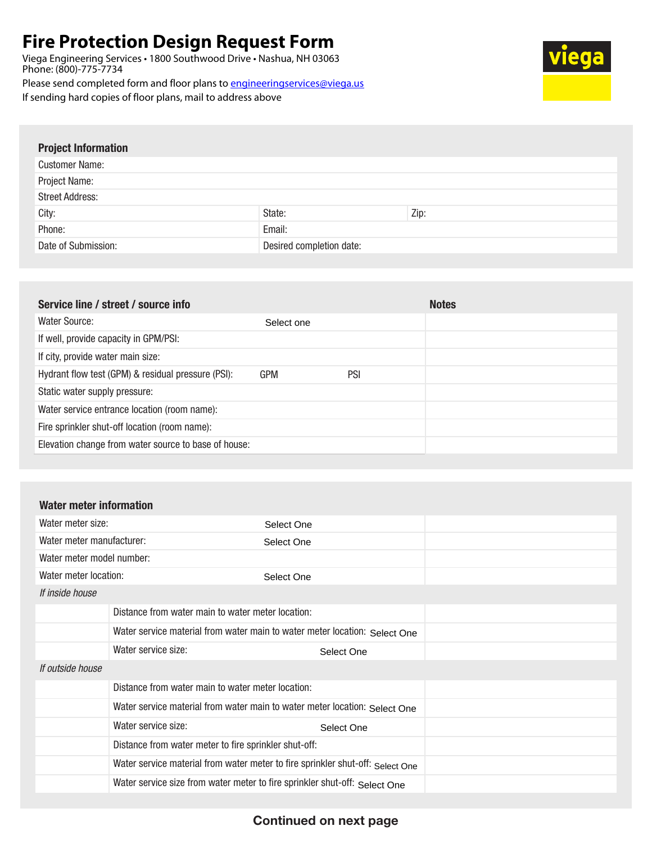## **Fire Protection Design Request Form**

If sending hard copies of floor plans, mail to address above

Viega Engineering Services • 1800 Southwood Drive • Nashua, NH 03063 Phone: (800)-775-7734 Please send completed form and floor plans to engineeringservices@viega.us **ga** 

Project Information

| <b>I IUJULIIIIUI IIIAUUII</b> |                          |      |
|-------------------------------|--------------------------|------|
| <b>Customer Name:</b>         |                          |      |
| Project Name:                 |                          |      |
| <b>Street Address:</b>        |                          |      |
| City:                         | State:                   | Zip: |
| Phone:                        | Email:                   |      |
| Date of Submission:           | Desired completion date: |      |
|                               |                          |      |

|            |     | <b>Notes</b> |
|------------|-----|--------------|
| Select one |     |              |
|            |     |              |
|            |     |              |
|            | PSI |              |
|            |     |              |
|            |     |              |
|            |     |              |
|            |     |              |
|            | GPM |              |

## Water meter information

| Water meter size:         |                                                                            | Select One                                                                     |  |
|---------------------------|----------------------------------------------------------------------------|--------------------------------------------------------------------------------|--|
| Water meter manufacturer: |                                                                            | Select One                                                                     |  |
| Water meter model number: |                                                                            |                                                                                |  |
| Water meter location:     | Select One                                                                 |                                                                                |  |
| If inside house           |                                                                            |                                                                                |  |
|                           | Distance from water main to water meter location:                          |                                                                                |  |
|                           | Water service material from water main to water meter location: Select One |                                                                                |  |
|                           | Water service size:                                                        | Select One                                                                     |  |
| If outside house          |                                                                            |                                                                                |  |
|                           | Distance from water main to water meter location:                          |                                                                                |  |
|                           | Water service material from water main to water meter location: Select One |                                                                                |  |
|                           | Water service size:                                                        | Select One                                                                     |  |
|                           | Distance from water meter to fire sprinkler shut-off:                      |                                                                                |  |
|                           |                                                                            | Water service material from water meter to fire sprinkler shut-off: Select One |  |
|                           | Water service size from water meter to fire sprinkler shut-off: Select One |                                                                                |  |

## Continued on next page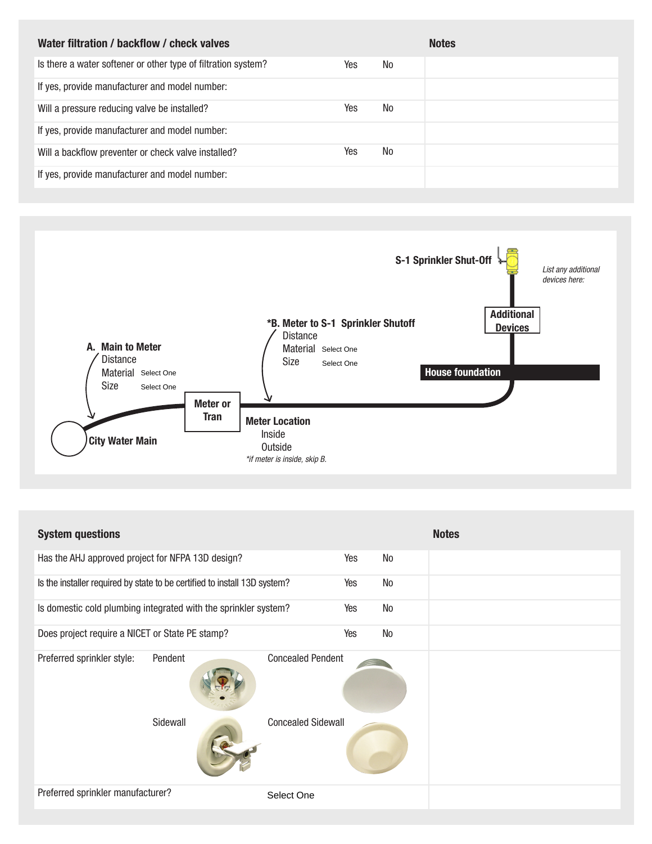| Water filtration / backflow / check valves                    |     |     | <b>Notes</b> |
|---------------------------------------------------------------|-----|-----|--------------|
| Is there a water softener or other type of filtration system? | Yes | No. |              |
| If yes, provide manufacturer and model number:                |     |     |              |
| Will a pressure reducing valve be installed?                  | Yes | No  |              |
| If yes, provide manufacturer and model number:                |     |     |              |
| Will a backflow preventer or check valve installed?           | Yes | No  |              |
| If yes, provide manufacturer and model number:                |     |     |              |



| <b>System questions</b>                                                   |                           |     |    | <b>Notes</b> |
|---------------------------------------------------------------------------|---------------------------|-----|----|--------------|
| Has the AHJ approved project for NFPA 13D design?                         |                           | Yes | No |              |
| Is the installer required by state to be certified to install 13D system? |                           | Yes | No |              |
| Is domestic cold plumbing integrated with the sprinkler system?           |                           | Yes | No |              |
| Does project require a NICET or State PE stamp?                           |                           | Yes | No |              |
| Preferred sprinkler style:<br>Pendent                                     | <b>Concealed Pendent</b>  |     |    |              |
| Sidewall                                                                  | <b>Concealed Sidewall</b> |     |    |              |
| Preferred sprinkler manufacturer?                                         | Select One                |     |    |              |